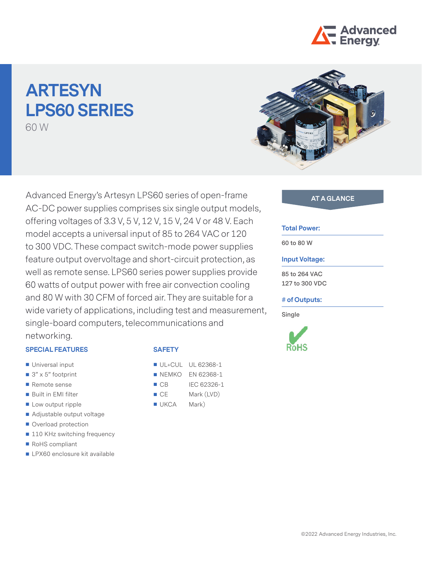

# **ARTESYN LPS60 SERIES** 60 W



Advanced Energy's Artesyn LPS60 series of open-frame **AT A GLANCE** AC-DC power supplies comprises six single output models, offering voltages of 3.3 V, 5 V, 12 V, 15 V, 24 V or 48 V. Each model accepts a universal input of 85 to 264 VAC or 120 to 300 VDC. These compact switch-mode power supplies feature output overvoltage and short-circuit protection, as well as remote sense. LPS60 series power supplies provide 60 watts of output power with free air convection cooling and 80 W with 30 CFM of forced air. They are suitable for a wide variety of applications, including test and measurement, single-board computers, telecommunications and networking.

## **SPECIAL FEATURES**

- **Universal input**
- $\Box$  3" x 5" footprint
- Remote sense
- Built in EMI filter
- **Low output ripple**
- Adjustable output voltage
- Overload protection
- 110 KHz switching frequency
- RoHS compliant
- **LPX60** enclosure kit available

## **SAFETY**

- **UL+CUL UL 62368-1**
- **NEMKO EN 62368-1**
- CB IEC 62326-1
- CE Mark (LVD)
- UKCA Mark)

#### **Total Power:**

**60 to 80 W**

#### **Input Voltage:**

**85 to 264 VAC 127 to 300 VDC**

## **# of Outputs:**

**Single**



©2022 Advanced Energy Industries, Inc.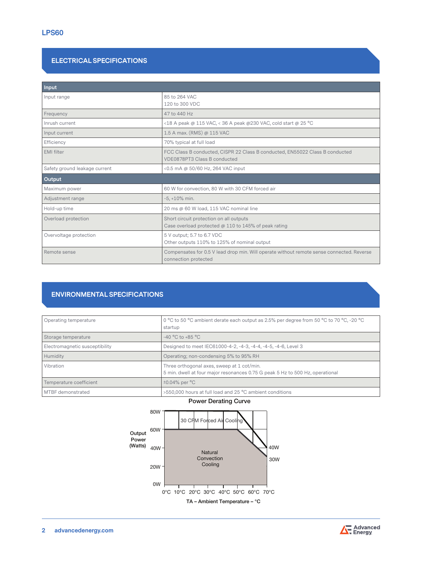# **ELECTRICAL SPECIFICATIONS**

| Input                         |                                                                                                                   |
|-------------------------------|-------------------------------------------------------------------------------------------------------------------|
| Input range                   | 85 to 264 VAC<br>120 to 300 VDC                                                                                   |
| Frequency                     | 47 to 440 Hz                                                                                                      |
| Inrush current                | <18 A peak @ 115 VAC, < 36 A peak @230 VAC, cold start @ 25 °C                                                    |
| Input current                 | 1.5 A max. (RMS) @ 115 VAC                                                                                        |
| Efficiency                    | 70% typical at full load                                                                                          |
| <b>EMI</b> filter             | FCC Class B conducted, CISPR 22 Class B conducted, EN55022 Class B conducted<br>VDE0878PT3 Class B conducted      |
| Safety ground leakage current | <0.5 mA @ 50/60 Hz, 264 VAC input                                                                                 |
| Output                        |                                                                                                                   |
| Maximum power                 | 60 W for convection, 80 W with 30 CFM forced air                                                                  |
| Adjustment range              | $-5. +10\%$ min.                                                                                                  |
| Hold-up time                  | 20 ms @ 60 W load, 115 VAC nominal line                                                                           |
| Overload protection           | Short circuit protection on all outputs<br>Case overload protected $\omega$ 110 to 145% of peak rating            |
| Overvoltage protection        | 5 V output; 5.7 to 6.7 VDC<br>Other outputs 110% to 125% of nominal output                                        |
| Remote sense                  | Compensates for 0.5 V lead drop min. Will operate without remote sense connected. Reverse<br>connection protected |

# **ENVIRONMENTAL SPECIFICATIONS**

| Operating temperature          | 0 °C to 50 °C ambient derate each output as 2.5% per degree from 50 °C to 70 °C, -20 °C<br>startup                          |
|--------------------------------|-----------------------------------------------------------------------------------------------------------------------------|
| Storage temperature            | $-40 °C$ to $+85 °C$                                                                                                        |
| Electromagnetic susceptibility | Designed to meet IEC61000-4-2, -4-3, -4-4, -4-5, -4-6, Level 3                                                              |
| Humidity                       | Operating; non-condensing 5% to 95% RH                                                                                      |
| Vibration                      | Three orthogonal axes, sweep at 1 cot/min.<br>5 min. dwell at four major resonances 0.75 G peak 5 Hz to 500 Hz, operational |
| Temperature coefficient        | $\pm 0.04\%$ per $\degree$ C                                                                                                |
| MTBF demonstrated              | >550,000 hours at full load and 25 °C ambient conditions                                                                    |



# Power Derating Curve

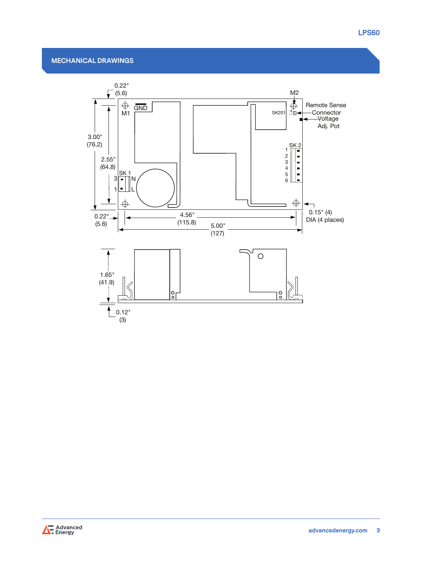# **MECHANICAL DRAWINGS**



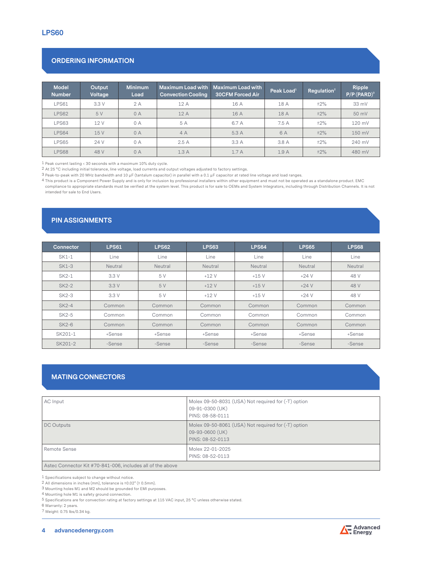# **ORDERING INFORMATION**

| <b>Model</b><br><b>Number</b> | Output<br>Voltage | Minimum<br>Load | <b>Maximum Load with</b><br><b>Convection Cooling</b> | Maximum Load with<br><b>30CFM Forced Air</b> | $P$ eak Load ${}^1$ | Regulation $2$ | Ripple<br>$P/P(PARD)^3$ |
|-------------------------------|-------------------|-----------------|-------------------------------------------------------|----------------------------------------------|---------------------|----------------|-------------------------|
| LPS61                         | 3.3V              | 2A              | 12A                                                   | 16 A                                         | 18 A                | ±2%            | 33 mV                   |
| LPS62                         | 5 V               | 0A              | 12A                                                   | 16 A                                         | 18 A                | ±2%            | $50$ mV                 |
| LPS63                         | 12 V              | 0 A             | 5 A                                                   | 6.7 A                                        | 7.5 A               | $±2\%$         | 120 mV                  |
| LPS64                         | 15V               | 0A              | 4A                                                    | 5.3 A                                        | 6 A                 | $±2\%$         | 150 mV                  |
| LPS65                         | 24 V              | 0A              | 2.5A                                                  | 3.3A                                         | 3.8 A               | $±2\%$         | 240 mV                  |
| LPS68                         | 48 V              | 0A              | 1.3A                                                  | 1.7A                                         | 1.9A                | ±2%            | 480 mV                  |

1 Peak current lasting < 30 seconds with a maximum 10% duty cycle.

2 At 25 °C including initial tolerance, line voltage, load currents and output voltages adjusted to factory settings.

3 Peak-to-peak with 20 MHz bandwidth and 10 μF (tantalum capacitor) in parallel with a 0.1 μF capacitor at rated line voltage and load ranges.

4 This product is a Component Power Supply and is only for inclusion by professional installers within other equipment and must not be operated as a standalone product. EMC compliance to appropriate standards must be verified at the system level. This product is for sale to OEMs and System Integrators, including through Distribution Channels. It is not intended for sale to End Users.

# **PIN ASSIGNMENTS**

| <b>Connector</b> | <b>LPS61</b> | <b>LPS62</b> | LPS63   | <b>LPS64</b> | <b>LPS65</b> | <b>LPS68</b> |
|------------------|--------------|--------------|---------|--------------|--------------|--------------|
| SK1-1            | Line         | Line         | Line    | Line         | Line         | Line         |
| <b>SK1-3</b>     | Neutral      | Neutral      | Neutral | Neutral      | Neutral      | Neutral      |
| SK2-1            | 3.3V         | 5 V          | $+12V$  | $+15V$       | $+24V$       | 48 V         |
| <b>SK2-2</b>     | 3.3V         | 5 V          | $+12V$  | $+15V$       | $+24V$       | 48 V         |
| SK2-3            | 3.3V         | 5 V          | $+12V$  | $+15V$       | $+24V$       | 48 V         |
| $SK2-4$          | Common       | Common       | Common  | Common       | Common       | Common       |
| SK2-5            | Common       | Common       | Common  | Common       | Common       | Common       |
| $SK2-6$          | Common       | Common       | Common  | Common       | Common       | Common       |
| SK201-1          | +Sense       | +Sense       | +Sense  | +Sense       | +Sense       | +Sense       |
| SK201-2          | -Sense       | -Sense       | -Sense  | -Sense       | -Sense       | -Sense       |

# **MATING CONNECTORS**

| AC Input          | Molex 09-50-8031 (USA) Not required for (-T) option<br>09-91-0300 (UK)<br>PINS: 08-58-0111 |
|-------------------|--------------------------------------------------------------------------------------------|
| <b>DC Outputs</b> | Molex 09-50-8061 (USA) Not required for (-T) option<br>09-93-0600 (UK)<br>PINS: 08-52-0113 |
| Remote Sense      | Molex 22-01-2025<br>PINS: 08-52-0113                                                       |

Astec Connector Kit #70-841-006, includes all of the above

1 Specifications subject to change without notice.

2 All dimensions in inches (mm), tolerance is ±0.02" (± 0.5mm).

3 Mounting holes M1 and M2 should be grounded for EMI purposes.

4 Mounting hole M1 is safety ground connection.

5 Specifications are for convection rating at factory settings at 115 VAC input, 25 °C unless otherwise stated.

6 Warranty: 2 years.

7 Weight: 0.75 lbs/0.34 kg.